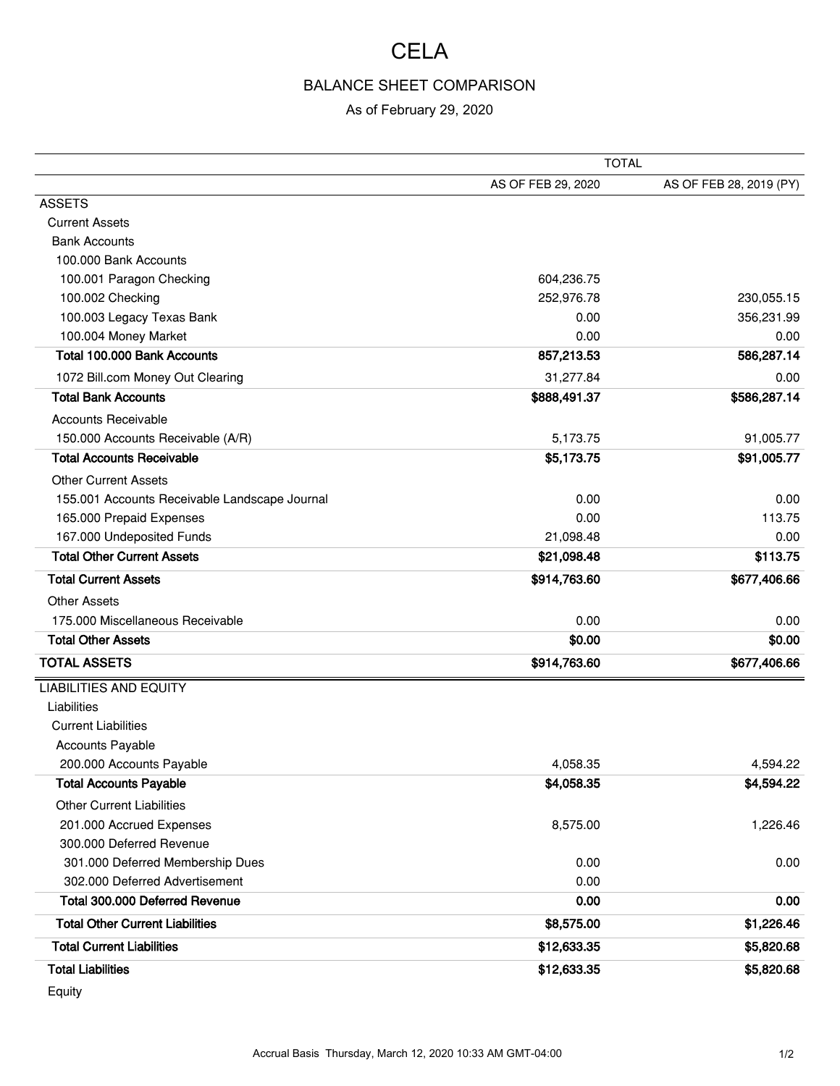## **CELA**

## BALANCE SHEET COMPARISON

## As of February 29, 2020

|                                               | <b>TOTAL</b>       |                         |
|-----------------------------------------------|--------------------|-------------------------|
|                                               | AS OF FEB 29, 2020 | AS OF FEB 28, 2019 (PY) |
| <b>ASSETS</b>                                 |                    |                         |
| <b>Current Assets</b>                         |                    |                         |
| <b>Bank Accounts</b>                          |                    |                         |
| 100.000 Bank Accounts                         |                    |                         |
| 100.001 Paragon Checking                      | 604,236.75         |                         |
| 100.002 Checking                              | 252,976.78         | 230,055.15              |
| 100.003 Legacy Texas Bank                     | 0.00               | 356,231.99              |
| 100.004 Money Market                          | 0.00               | 0.00                    |
| Total 100.000 Bank Accounts                   | 857,213.53         | 586,287.14              |
| 1072 Bill.com Money Out Clearing              | 31,277.84          | 0.00                    |
| <b>Total Bank Accounts</b>                    | \$888,491.37       | \$586,287.14            |
| <b>Accounts Receivable</b>                    |                    |                         |
| 150.000 Accounts Receivable (A/R)             | 5,173.75           | 91,005.77               |
| <b>Total Accounts Receivable</b>              | \$5,173.75         | \$91,005.77             |
| <b>Other Current Assets</b>                   |                    |                         |
| 155.001 Accounts Receivable Landscape Journal | 0.00               | 0.00                    |
| 165.000 Prepaid Expenses                      | 0.00               | 113.75                  |
| 167.000 Undeposited Funds                     | 21,098.48          | 0.00                    |
| <b>Total Other Current Assets</b>             | \$21,098.48        | \$113.75                |
| <b>Total Current Assets</b>                   | \$914,763.60       | \$677,406.66            |
| <b>Other Assets</b>                           |                    |                         |
| 175,000 Miscellaneous Receivable              | 0.00               | 0.00                    |
| <b>Total Other Assets</b>                     | \$0.00             | \$0.00                  |
| <b>TOTAL ASSETS</b>                           | \$914,763.60       | \$677,406.66            |
| <b>LIABILITIES AND EQUITY</b>                 |                    |                         |
| Liabilities                                   |                    |                         |
| <b>Current Liabilities</b>                    |                    |                         |
| <b>Accounts Payable</b>                       |                    |                         |
| 200.000 Accounts Payable                      | 4,058.35           | 4,594.22                |
| <b>Total Accounts Payable</b>                 | \$4,058.35         | \$4,594.22              |
| <b>Other Current Liabilities</b>              |                    |                         |
| 201.000 Accrued Expenses                      | 8,575.00           | 1,226.46                |
| 300.000 Deferred Revenue                      |                    |                         |
| 301.000 Deferred Membership Dues              | 0.00               | 0.00                    |
| 302.000 Deferred Advertisement                | 0.00               |                         |
| Total 300.000 Deferred Revenue                | 0.00               | 0.00                    |
| <b>Total Other Current Liabilities</b>        | \$8,575.00         | \$1,226.46              |
| <b>Total Current Liabilities</b>              | \$12,633.35        | \$5,820.68              |
| <b>Total Liabilities</b>                      | \$12,633.35        | \$5,820.68              |

Equity